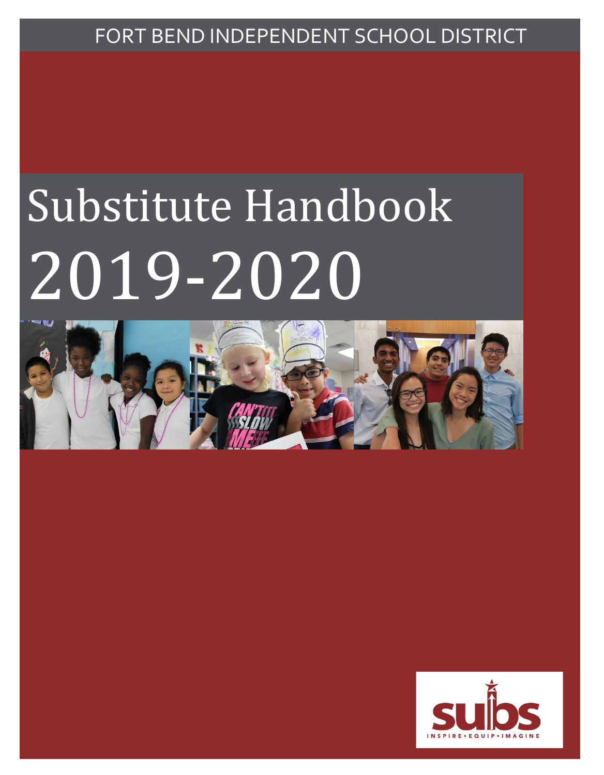## FORT BEND INDEPENDENT SCHOOL DISTRICT

# Substitute Handbook 2019-2020



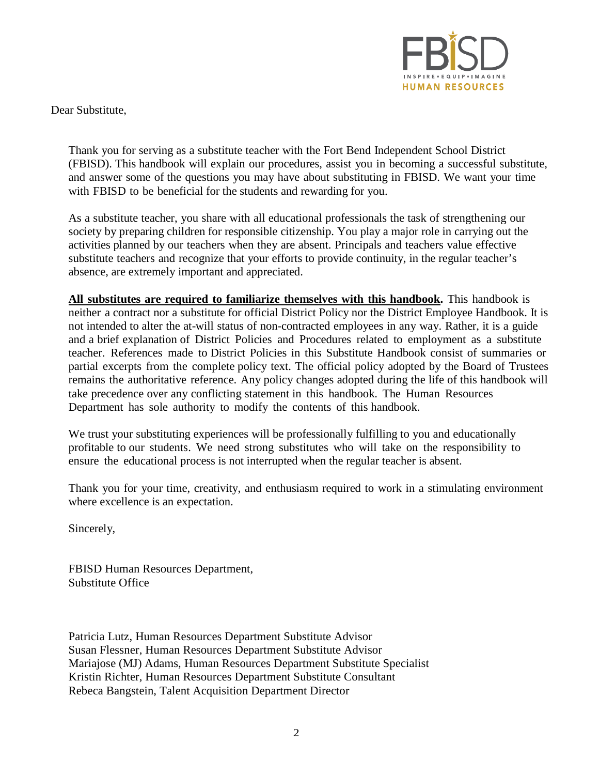

Dear Substitute,

Thank you for serving as a substitute teacher with the Fort Bend Independent School District (FBISD). This handbook will explain our procedures, assist you in becoming a successful substitute, and answer some of the questions you may have about substituting in FBISD. We want your time with FBISD to be beneficial for the students and rewarding for you.

As a substitute teacher, you share with all educational professionals the task of strengthening our society by preparing children for responsible citizenship. You play a major role in carrying out the activities planned by our teachers when they are absent. Principals and teachers value effective substitute teachers and recognize that your efforts to provide continuity, in the regular teacher's absence, are extremely important and appreciated.

**All substitutes are required to familiarize themselves with this handbook.** This handbook is neither a contract nor a substitute for official District Policy nor the District Employee Handbook. It is not intended to alter the at-will status of non-contracted employees in any way. Rather, it is a guide and a brief explanation of District Policies and Procedures related to employment as a substitute teacher. References made to District Policies in this Substitute Handbook consist of summaries or partial excerpts from the complete policy text. The official policy adopted by the Board of Trustees remains the authoritative reference. Any policy changes adopted during the life of this handbook will take precedence over any conflicting statement in this handbook. The Human Resources Department has sole authority to modify the contents of this handbook.

We trust your substituting experiences will be professionally fulfilling to you and educationally profitable to our students. We need strong substitutes who will take on the responsibility to ensure the educational process is not interrupted when the regular teacher is absent.

Thank you for your time, creativity, and enthusiasm required to work in a stimulating environment where excellence is an expectation.

Sincerely,

FBISD Human Resources Department, Substitute Office

Patricia Lutz, Human Resources Department Substitute Advisor Susan Flessner, Human Resources Department Substitute Advisor Mariajose (MJ) Adams, Human Resources Department Substitute Specialist Kristin Richter, Human Resources Department Substitute Consultant Rebeca Bangstein, Talent Acquisition Department Director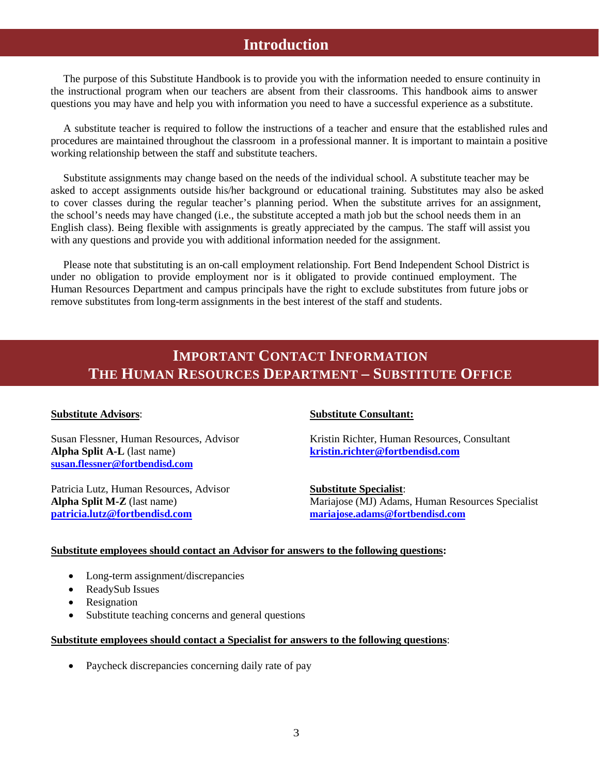### **Introduction**

The purpose of this Substitute Handbook is to provide you with the information needed to ensure continuity in the instructional program when our teachers are absent from their classrooms. This handbook aims to answer questions you may have and help you with information you need to have a successful experience as a substitute.

A substitute teacher is required to follow the instructions of a teacher and ensure that the established rules and procedures are maintained throughout the classroom in a professional manner. It is important to maintain a positive working relationship between the staff and substitute teachers.

Substitute assignments may change based on the needs of the individual school. A substitute teacher may be asked to accept assignments outside his/her background or educational training. Substitutes may also be asked to cover classes during the regular teacher's planning period. When the substitute arrives for an assignment, the school's needs may have changed (i.e., the substitute accepted a math job but the school needs them in an English class). Being flexible with assignments is greatly appreciated by the campus. The staff will assist you with any questions and provide you with additional information needed for the assignment.

Please note that substituting is an on-call employment relationship. Fort Bend Independent School District is under no obligation to provide employment nor is it obligated to provide continued employment. The Human Resources Department and campus principals have the right to exclude substitutes from future jobs or remove substitutes from long-term assignments in the best interest of the staff and students.

## **IMPORTANT CONTACT INFORMATION THE HUMAN RESOURCES DEPARTMENT – SUBSTITUTE OFFICE**

**Alpha Split A-L** (last name) **[kristin.richter@fortbendisd.com](mailto:kristin.richter@fortbendisd.com) [susan.flessner@fortbendisd.com](mailto:patricia.lutz@fortbendisd.com)**

Patricia Lutz, Human Resources, Advisor<br> **Substitute Specialist:**<br> **Alpha Split M-Z** (last name) Mariajose (MJ) Adams **[patricia.lutz@fortbendisd.com](mailto:patricia.lutz@fortbendisd.com) [mariajose.adams@fortbendisd.com](mailto:mariajose.adams@fortbendisd.com)**

#### **Substitute Advisors**: **Substitute Consultant:**

Susan Flessner, Human Resources, Advisor Kristin Richter, Human Resources, Consultant

**Mariajose (MJ) Adams, Human Resources Specialist** 

#### **Substitute employees should contact an Advisor for answers to the following questions:**

- Long-term assignment/discrepancies
- ReadySub Issues
- Resignation
- Substitute teaching concerns and general questions

#### **Substitute employees should contact a Specialist for answers to the following questions**:

• Paycheck discrepancies concerning daily rate of pay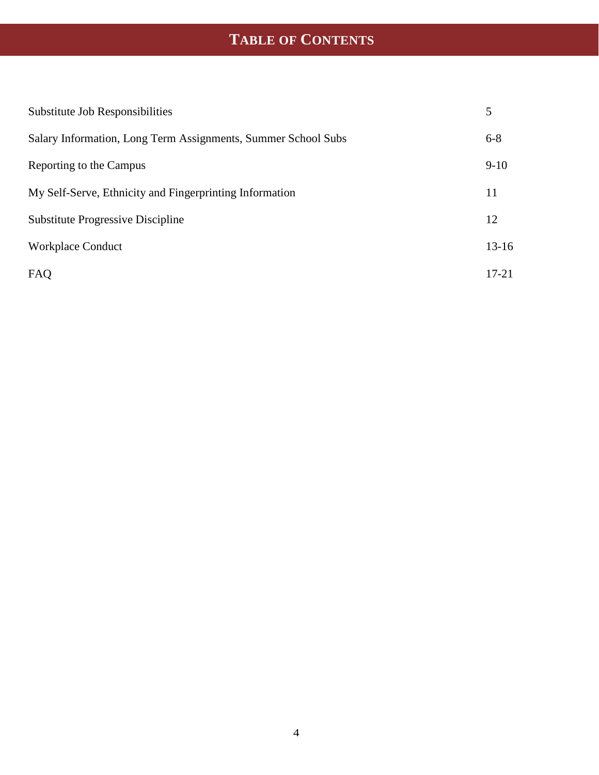## **TABLE OF CONTENTS**

| Substitute Job Responsibilities                               | 5         |
|---------------------------------------------------------------|-----------|
| Salary Information, Long Term Assignments, Summer School Subs | $6 - 8$   |
| Reporting to the Campus                                       | $9-10$    |
| My Self-Serve, Ethnicity and Fingerprinting Information       | 11        |
| <b>Substitute Progressive Discipline</b>                      | 12        |
| <b>Workplace Conduct</b>                                      | $13 - 16$ |
| FAQ                                                           | $17 - 21$ |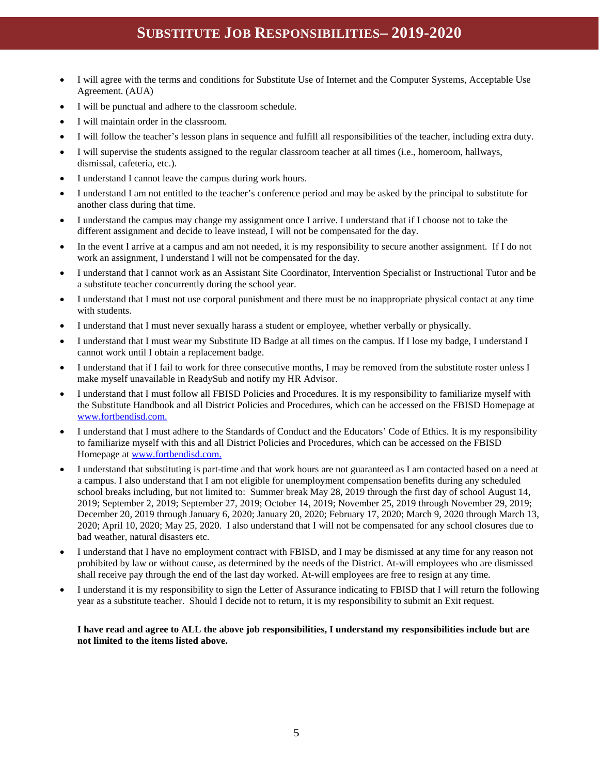## **SUBSTITUTE JOB RESPONSIBILITIES– 2019-2020**

- I will agree with the terms and conditions for Substitute Use of Internet and the Computer Systems, Acceptable Use Agreement. (AUA)
- I will be punctual and adhere to the classroom schedule.
- I will maintain order in the classroom.
- I will follow the teacher's lesson plans in sequence and fulfill all responsibilities of the teacher, including extra duty.
- I will supervise the students assigned to the regular classroom teacher at all times (i.e., homeroom, hallways, dismissal, cafeteria, etc.).
- I understand I cannot leave the campus during work hours.
- I understand I am not entitled to the teacher's conference period and may be asked by the principal to substitute for another class during that time.
- I understand the campus may change my assignment once I arrive. I understand that if I choose not to take the different assignment and decide to leave instead, I will not be compensated for the day.
- In the event I arrive at a campus and am not needed, it is my responsibility to secure another assignment. If I do not work an assignment, I understand I will not be compensated for the day.
- I understand that I cannot work as an Assistant Site Coordinator, Intervention Specialist or Instructional Tutor and be a substitute teacher concurrently during the school year.
- I understand that I must not use corporal punishment and there must be no inappropriate physical contact at any time with students.
- I understand that I must never sexually harass a student or employee, whether verbally or physically.
- I understand that I must wear my Substitute ID Badge at all times on the campus. If I lose my badge, I understand I cannot work until I obtain a replacement badge.
- I understand that if I fail to work for three consecutive months, I may be removed from the substitute roster unless I make myself unavailable in ReadySub and notify my HR Advisor.
- I understand that I must follow all FBISD Policies and Procedures. It is my responsibility to familiarize myself with the Substitute Handbook and all District Policies and Procedures, which can be accessed on the FBISD Homepage at [www.fortbendisd.com.](http://www.fortbendisd.com/)
- I understand that I must adhere to the Standards of Conduct and the Educators' Code of Ethics. It is my responsibility to familiarize myself with this and all District Policies and Procedures, which can be accessed on the FBISD Homepage a[t www.fortbendisd.com.](http://www.fortbendisd.com/)
- I understand that substituting is part-time and that work hours are not guaranteed as I am contacted based on a need at a campus. I also understand that I am not eligible for unemployment compensation benefits during any scheduled school breaks including, but not limited to: Summer break May 28, 2019 through the first day of school August 14, 2019; September 2, 2019; September 27, 2019; October 14, 2019; November 25, 2019 through November 29, 2019; December 20, 2019 through January 6, 2020; January 20, 2020; February 17, 2020; March 9, 2020 through March 13, 2020; April 10, 2020; May 25, 2020. I also understand that I will not be compensated for any school closures due to bad weather, natural disasters etc.
- I understand that I have no employment contract with FBISD, and I may be dismissed at any time for any reason not prohibited by law or without cause, as determined by the needs of the District. At-will employees who are dismissed shall receive pay through the end of the last day worked. At-will employees are free to resign at any time.
- I understand it is my responsibility to sign the Letter of Assurance indicating to FBISD that I will return the following year as a substitute teacher. Should I decide not to return, it is my responsibility to submit an Exit request.

#### **I have read and agree to ALL the above job responsibilities, I understand my responsibilities include but are not limited to the items listed above.**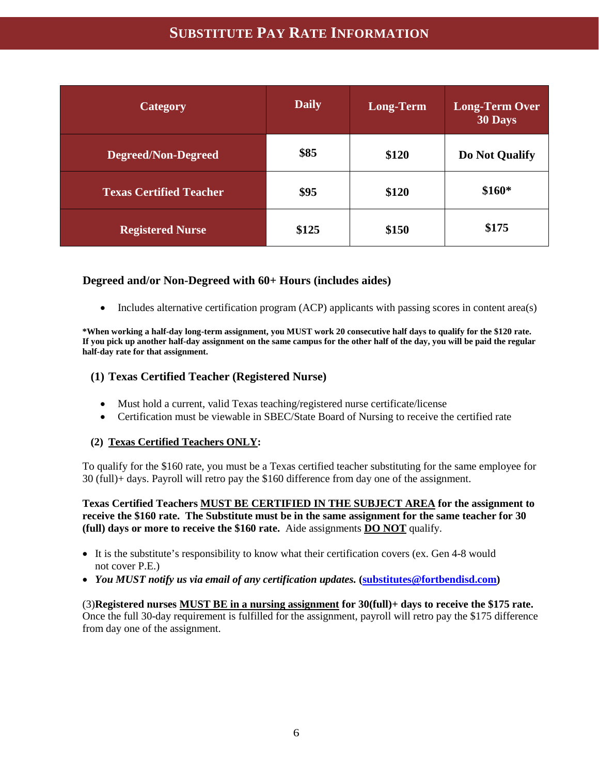## **SUBSTITUTE PAY RATE INFORMATION**

| <b>Category</b>                | <b>Daily</b> | <b>Long-Term</b> | <b>Long-Term Over</b><br>30 Days |
|--------------------------------|--------------|------------------|----------------------------------|
| <b>Degreed/Non-Degreed</b>     | \$85         | \$120            | Do Not Qualify                   |
| <b>Texas Certified Teacher</b> | \$95         | \$120            | \$160*                           |
| <b>Registered Nurse</b>        | \$125        | \$150            | \$175                            |

#### **Degreed and/or Non-Degreed with 60+ Hours (includes aides)**

• Includes alternative certification program (ACP) applicants with passing scores in content area(s)

**\*When working a half-day long-term assignment, you MUST work 20 consecutive half days to qualify for the \$120 rate. If you pick up another half-day assignment on the same campus for the other half of the day, you will be paid the regular half-day rate for that assignment.**

#### **(1) Texas Certified Teacher (Registered Nurse)**

- Must hold a current, valid Texas teaching/registered nurse certificate/license
- Certification must be viewable in SBEC/State Board of Nursing to receive the certified rate

#### **(2) Texas Certified Teachers ONLY:**

To qualify for the \$160 rate, you must be a Texas certified teacher substituting for the same employee for 30 (full)+ days. Payroll will retro pay the \$160 difference from day one of the assignment.

**Texas Certified Teachers MUST BE CERTIFIED IN THE SUBJECT AREA for the assignment to receive the \$160 rate. The Substitute must be in the same assignment for the same teacher for 30 (full) days or more to receive the \$160 rate.** Aide assignments **DO NOT** qualify.

- It is the substitute's responsibility to know what their certification covers (ex. Gen 4-8 would not cover P.E.)
- *You MUST notify us via email of any certification updates.* **[\(substitutes@fortbendisd.com\)](mailto:substitutes@fortbendisd.com)**

(3)**Registered nurses MUST BE in a nursing assignment for 30(full)+ days to receive the \$175 rate.**  Once the full 30-day requirement is fulfilled for the assignment, payroll will retro pay the \$175 difference from day one of the assignment.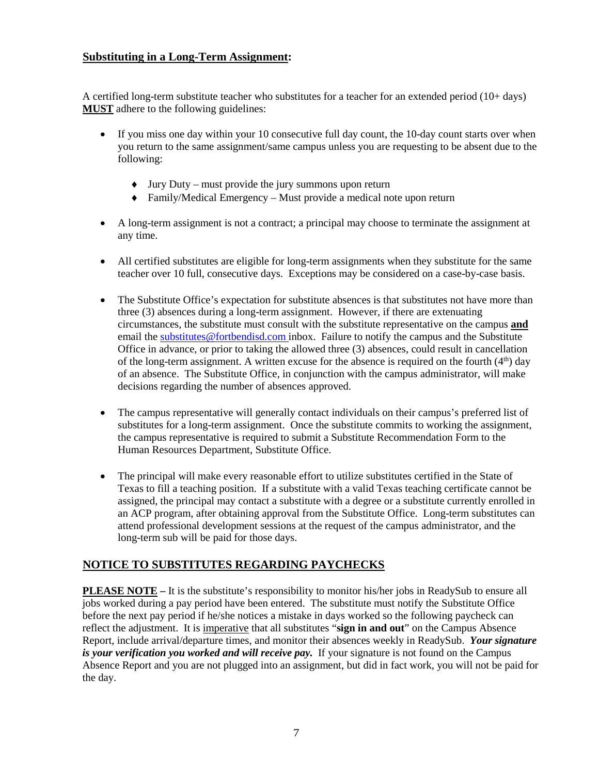#### **Substituting in a Long-Term Assignment:**

A certified long-term substitute teacher who substitutes for a teacher for an extended period (10+ days) **MUST** adhere to the following guidelines:

- If you miss one day within your 10 consecutive full day count, the 10-day count starts over when you return to the same assignment/same campus unless you are requesting to be absent due to the following:
	- ♦ Jury Duty must provide the jury summons upon return
	- ♦ Family/Medical Emergency Must provide a medical note upon return
- A long-term assignment is not a contract; a principal may choose to terminate the assignment at any time.
- All certified substitutes are eligible for long-term assignments when they substitute for the same teacher over 10 full, consecutive days. Exceptions may be considered on a case-by-case basis.
- The Substitute Office's expectation for substitute absences is that substitutes not have more than three (3) absences during a long-term assignment. However, if there are extenuating circumstances, the substitute must consult with the substitute representative on the campus **and** email the [substitutes@fortbendisd.com](mailto:substitutes@fortbendisd.com) inbox. Failure to notify the campus and the Substitute Office in advance, or prior to taking the allowed three (3) absences, could result in cancellation of the long-term assignment. A written excuse for the absence is required on the fourth  $(4<sup>th</sup>)$  day of an absence. The Substitute Office, in conjunction with the campus administrator, will make decisions regarding the number of absences approved.
- The campus representative will generally contact individuals on their campus's preferred list of substitutes for a long-term assignment. Once the substitute commits to working the assignment, the campus representative is required to submit a Substitute Recommendation Form to the Human Resources Department, Substitute Office.
- The principal will make every reasonable effort to utilize substitutes certified in the State of Texas to fill a teaching position. If a substitute with a valid Texas teaching certificate cannot be assigned, the principal may contact a substitute with a degree or a substitute currently enrolled in an ACP program, after obtaining approval from the Substitute Office. Long-term substitutes can attend professional development sessions at the request of the campus administrator, and the long-term sub will be paid for those days.

#### **NOTICE TO SUBSTITUTES REGARDING PAYCHECKS**

**PLEASE NOTE** – It is the substitute's responsibility to monitor his/her jobs in ReadySub to ensure all jobs worked during a pay period have been entered. The substitute must notify the Substitute Office before the next pay period if he/she notices a mistake in days worked so the following paycheck can reflect the adjustment. It is imperative that all substitutes "**sign in and out**" on the Campus Absence Report, include arrival/departure times, and monitor their absences weekly in ReadySub. *Your signature is your verification you worked and will receive pay.* If your signature is not found on the Campus Absence Report and you are not plugged into an assignment, but did in fact work, you will not be paid for the day.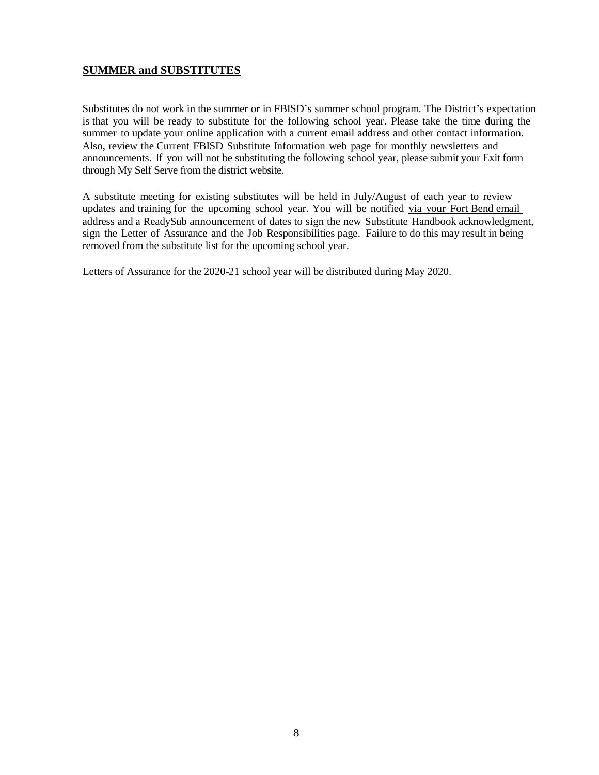#### **SUMMER and SUBSTITUTES**

Substitutes do not work in the summer or in FBISD's summer school program. The District's expectation is that you will be ready to substitute for the following school year. Please take the time during the summer to update your online application with a current email address and other contact information. Also, review the Current FBISD Substitute Information web page for monthly newsletters and announcements. If you will not be substituting the following school year, please submit your Exit form through My Self Serve from the district website.

A substitute meeting for existing substitutes will be held in July/August of each year to review updates and training for the upcoming school year. You will be notified via your Fort Bend email address and a ReadySub announcement of dates to sign the new Substitute Handbook acknowledgment, sign the Letter of Assurance and the Job Responsibilities page. Failure to do this may result in being removed from the substitute list for the upcoming school year.

Letters of Assurance for the 2020-21 school year will be distributed during May 2020.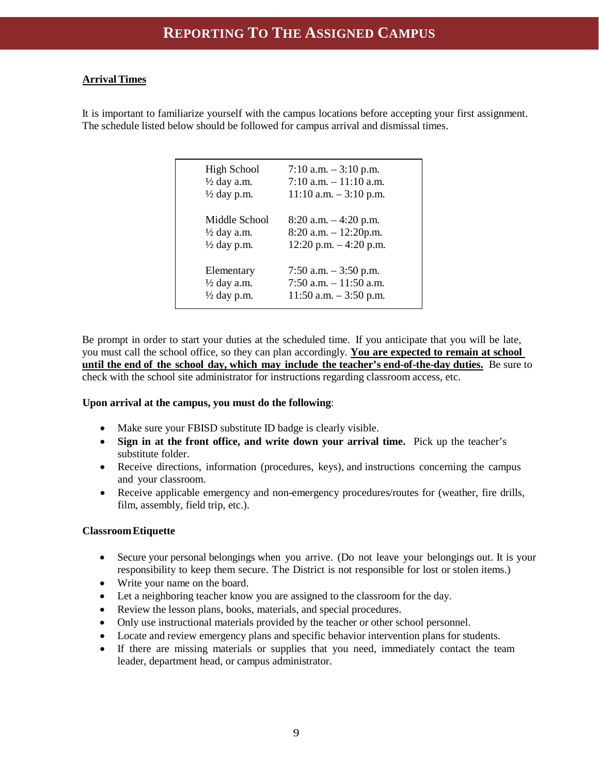#### **ArrivalTimes**

It is important to familiarize yourself with the campus locations before accepting your first assignment. The schedule listed below should be followed for campus arrival and dismissal times.

| <b>High School</b>     | 7:10 a.m. $-3:10$ p.m.    |
|------------------------|---------------------------|
| $\frac{1}{2}$ day a.m. | 7:10 a.m. $-11:10$ a.m.   |
| $\frac{1}{2}$ day p.m. | $11:10$ a.m. $-3:10$ p.m. |
| Middle School          | $8:20$ a.m. $-4:20$ p.m.  |
| $\frac{1}{2}$ day a.m. | $8:20$ a.m. $-12:20$ p.m. |
| $\frac{1}{2}$ day p.m. | $12:20$ p.m. $-4:20$ p.m. |
| Elementary             | 7:50 a.m. $-3:50$ p.m.    |
| $\frac{1}{2}$ day a.m. | 7:50 a.m. $-11:50$ a.m.   |
| $\frac{1}{2}$ day p.m. | $11:50$ a.m. $-3:50$ p.m. |

Be prompt in order to start your duties at the scheduled time. If you anticipate that you will be late, you must call the school office, so they can plan accordingly. **You are expected to remain at school until the end of the school day, which may include the teacher's end-of-the-day duties.** Be sure to check with the school site administrator for instructions regarding classroom access, etc.

#### **Upon arrival at the campus, you must do the following**:

- Make sure your FBISD substitute ID badge is clearly visible.
- **Sign in at the front office, and write down your arrival time.** Pick up the teacher's substitute folder.
- Receive directions, information (procedures, keys), and instructions concerning the campus and your classroom.
- Receive applicable emergency and non-emergency procedures/routes for (weather, fire drills, film, assembly, field trip, etc.).

#### **ClassroomEtiquette**

- Secure your personal belongings when you arrive. (Do not leave your belongings out. It is your responsibility to keep them secure. The District is not responsible for lost or stolen items.)
- Write your name on the board.
- Let a neighboring teacher know you are assigned to the classroom for the day.
- Review the lesson plans, books, materials, and special procedures.
- Only use instructional materials provided by the teacher or other school personnel.
- Locate and review emergency plans and specific behavior intervention plans for students.
- If there are missing materials or supplies that you need, immediately contact the team leader, department head, or campus administrator.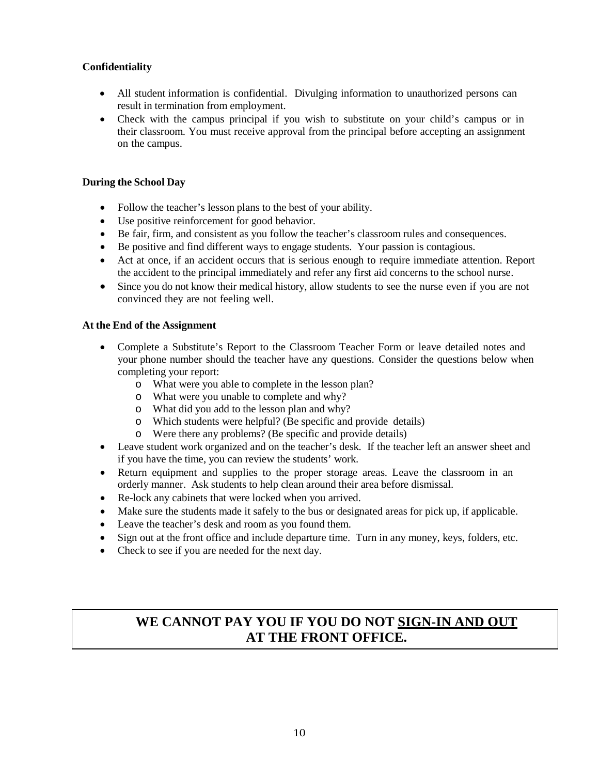#### **Confidentiality**

- All student information is confidential. Divulging information to unauthorized persons can result in termination from employment.
- Check with the campus principal if you wish to substitute on your child's campus or in their classroom. You must receive approval from the principal before accepting an assignment on the campus.

#### **During the School Day**

- Follow the teacher's lesson plans to the best of your ability.
- Use positive reinforcement for good behavior.
- Be fair, firm, and consistent as you follow the teacher's classroom rules and consequences.
- Be positive and find different ways to engage students. Your passion is contagious.
- Act at once, if an accident occurs that is serious enough to require immediate attention. Report the accident to the principal immediately and refer any first aid concerns to the school nurse.
- Since you do not know their medical history, allow students to see the nurse even if you are not convinced they are not feeling well.

#### **At the End of the Assignment**

- Complete a Substitute's Report to the Classroom Teacher Form or leave detailed notes and your phone number should the teacher have any questions. Consider the questions below when completing your report:
	- o What were you able to complete in the lesson plan?
	- o What were you unable to complete and why?
	- o What did you add to the lesson plan and why?
	- o Which students were helpful? (Be specific and provide details)
	- o Were there any problems? (Be specific and provide details)
- Leave student work organized and on the teacher's desk. If the teacher left an answer sheet and if you have the time, you can review the students' work.
- Return equipment and supplies to the proper storage areas. Leave the classroom in an orderly manner. Ask students to help clean around their area before dismissal.
- Re-lock any cabinets that were locked when you arrived.
- Make sure the students made it safely to the bus or designated areas for pick up, if applicable.
- Leave the teacher's desk and room as you found them.
- Sign out at the front office and include departure time. Turn in any money, keys, folders, etc.
- Check to see if you are needed for the next day.

## **WE CANNOT PAY YOU IF YOU DO NOT SIGN-IN AND OUT AT THE FRONT OFFICE.**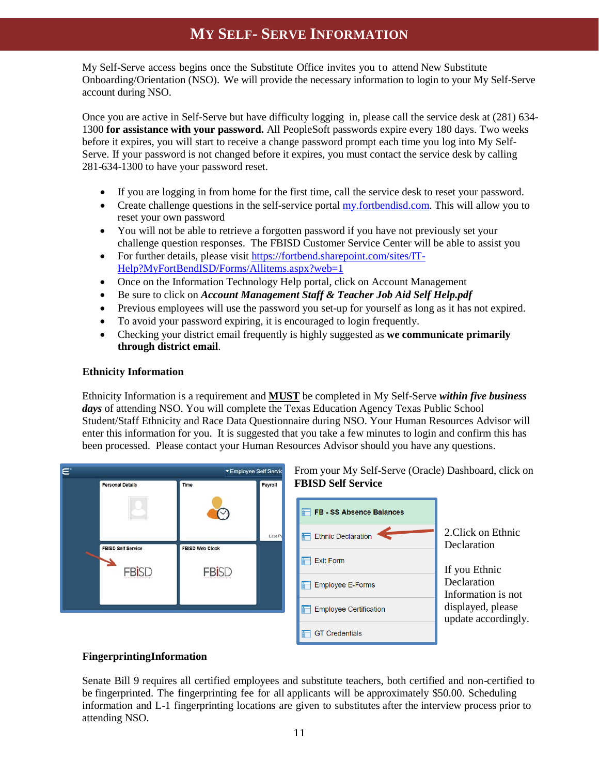## **MY SELF- SERVE INFORMATION**

My Self-Serve access begins once the Substitute Office invites you to attend New Substitute Onboarding/Orientation (NSO). We will provide the necessary information to login to your My Self-Serve account during NSO.

Once you are active in Self-Serve but have difficulty logging in, please call the service desk at (281) 634- 1300 **for assistance with your password.** All PeopleSoft passwords expire every 180 days. Two weeks before it expires, you will start to receive a change password prompt each time you log into My Self-Serve. If your password is not changed before it expires, you must contact the service desk by calling 281-634-1300 to have your password reset.

- If you are logging in from home for the first time, call the service desk to reset your password.
- Create challenge questions in the self-service portal [my.fortbendisd.com.](https://my.fortbendisd.com/) This will allow you to reset your own password
- You will not be able to retrieve a forgotten password if you have not previously set your challenge question responses. The FBISD Customer Service Center will be able to assist you
- For further details, please visit [https://fortbend.sharepoint.com/sites/IT-](https://fortbend.sharepoint.com/sites/IT-Help?MyFortBendISD/Forms/Allitems.aspx?web=1)[Help?MyFortBendISD/Forms/Allitems.aspx?web=1](https://fortbend.sharepoint.com/sites/IT-Help?MyFortBendISD/Forms/Allitems.aspx?web=1)
- Once on the Information Technology Help portal, click on Account Management
- Be sure to click on *Account Management Staff & Teacher Job Aid Self Help.pdf*
- Previous employees will use the password you set-up for yourself as long as it has not expired.
- To avoid your password expiring, it is encouraged to login frequently.
- Checking your district email frequently is highly suggested as **we communicate primarily through district email**.

#### **Ethnicity Information**

Ethnicity Information is a requirement and **MUST** be completed in My Self-Serve *within five business days* of attending NSO. You will complete the Texas Education Agency Texas Public School Student/Staff Ethnicity and Race Data Questionnaire during NSO. Your Human Resources Advisor will enter this information for you. It is suggested that you take a few minutes to login and confirm this has been processed. Please contact your Human Resources Advisor should you have any questions.





2.Click on Ethnic

**Declaration** Information is not displayed, please update accordingly.

#### **FingerprintingInformation**

Senate Bill 9 requires all certified employees and substitute teachers, both certified and non-certified to be fingerprinted. The fingerprinting fee for all applicants will be approximately \$50.00. Scheduling information and L-1 fingerprinting locations are given to substitutes after the interview process prior to attending NSO.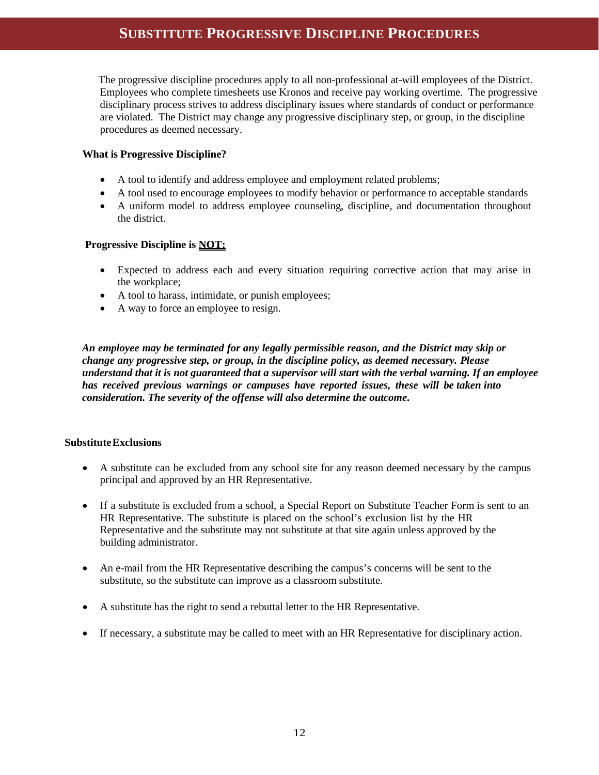## **SUBSTITUTE PROGRESSIVE DISCIPLINE PROCEDURES**

 The progressive discipline procedures apply to all non-professional at-will employees of the District. Employees who complete timesheets use Kronos and receive pay working overtime. The progressive disciplinary process strives to address disciplinary issues where standards of conduct or performance are violated. The District may change any progressive disciplinary step, or group, in the discipline procedures as deemed necessary.

#### **What is Progressive Discipline?**

- A tool to identify and address employee and employment related problems;
- A tool used to encourage employees to modify behavior or performance to acceptable standards
- A uniform model to address employee counseling, discipline, and documentation throughout the district.

#### **Progressive Discipline is NOT:**

- Expected to address each and every situation requiring corrective action that may arise in the workplace;
- A tool to harass, intimidate, or punish employees;
- A way to force an employee to resign.

*An employee may be terminated for any legally permissible reason, and the District may skip or change any progressive step, or group, in the discipline policy, as deemed necessary. Please understand that it is not guaranteed that a supervisor will start with the verbal warning. If an employee has received previous warnings or campuses have reported issues, these will be taken into consideration. The severity of the offense will also determine the outcome***.**

#### **SubstituteExclusions**

- A substitute can be excluded from any school site for any reason deemed necessary by the campus principal and approved by an HR Representative.
- If a substitute is excluded from a school, a Special Report on Substitute Teacher Form is sent to an HR Representative. The substitute is placed on the school's exclusion list by the HR Representative and the substitute may not substitute at that site again unless approved by the building administrator.
- An e-mail from the HR Representative describing the campus's concerns will be sent to the substitute, so the substitute can improve as a classroom substitute.
- A substitute has the right to send a rebuttal letter to the HR Representative.
- If necessary, a substitute may be called to meet with an HR Representative for disciplinary action.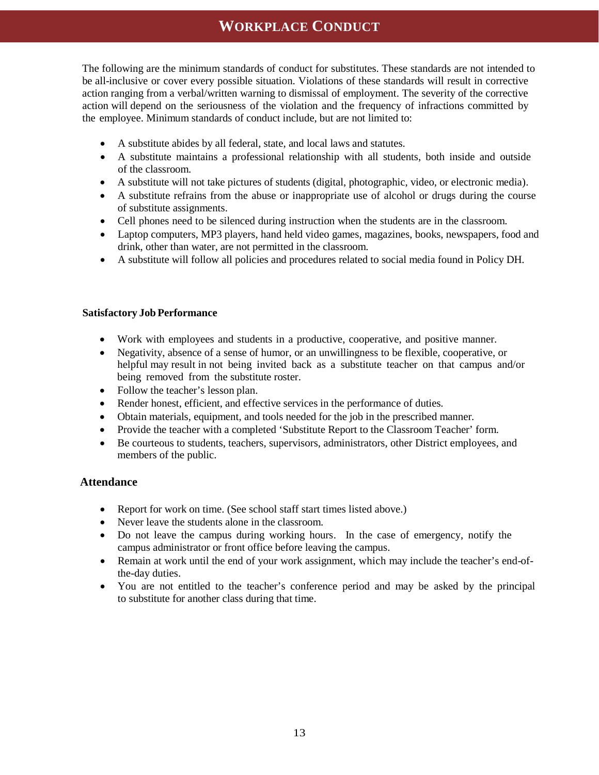## **WORKPLACE CONDUCT**

The following are the minimum standards of conduct for substitutes. These standards are not intended to be all-inclusive or cover every possible situation. Violations of these standards will result in corrective action ranging from a verbal/written warning to dismissal of employment. The severity of the corrective action will depend on the seriousness of the violation and the frequency of infractions committed by the employee. Minimum standards of conduct include, but are not limited to:

- A substitute abides by all federal, state, and local laws and statutes.
- A substitute maintains a professional relationship with all students, both inside and outside of the classroom.
- A substitute will not take pictures of students (digital, photographic, video, or electronic media).
- A substitute refrains from the abuse or inappropriate use of alcohol or drugs during the course of substitute assignments.
- Cell phones need to be silenced during instruction when the students are in the classroom.
- Laptop computers, MP3 players, hand held video games, magazines, books, newspapers, food and drink, other than water, are not permitted in the classroom.
- A substitute will follow all policies and procedures related to social media found in Policy DH.

#### **Satisfactory Job Performance**

- Work with employees and students in a productive, cooperative, and positive manner.
- Negativity, absence of a sense of humor, or an unwillingness to be flexible, cooperative, or helpful may result in not being invited back as a substitute teacher on that campus and/or being removed from the substitute roster.
- Follow the teacher's lesson plan.
- Render honest, efficient, and effective services in the performance of duties.
- Obtain materials, equipment, and tools needed for the job in the prescribed manner.
- Provide the teacher with a completed 'Substitute Report to the Classroom Teacher' form.
- Be courteous to students, teachers, supervisors, administrators, other District employees, and members of the public.

#### **Attendance**

- Report for work on time. (See school staff start times listed above.)
- Never leave the students alone in the classroom.
- Do not leave the campus during working hours. In the case of emergency, notify the campus administrator or front office before leaving the campus.
- Remain at work until the end of your work assignment, which may include the teacher's end-ofthe-day duties.
- You are not entitled to the teacher's conference period and may be asked by the principal to substitute for another class during that time.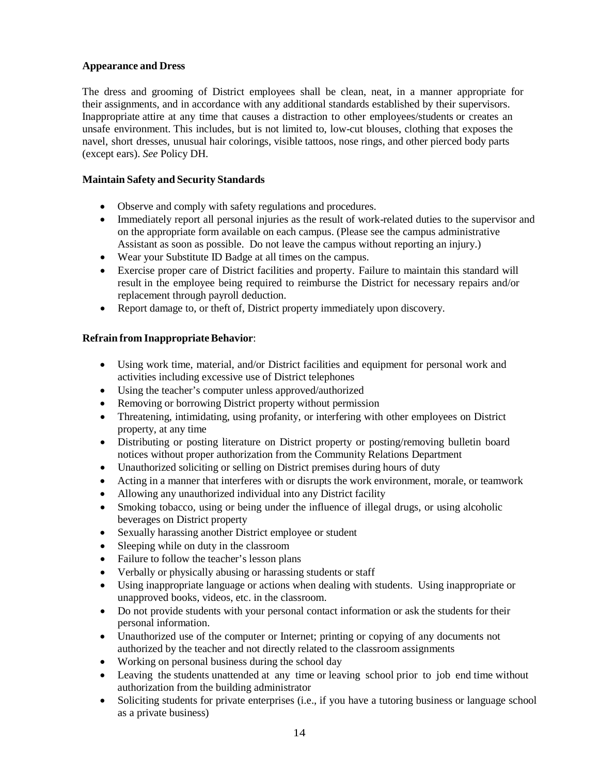#### **Appearance and Dress**

The dress and grooming of District employees shall be clean, neat, in a manner appropriate for their assignments, and in accordance with any additional standards established by their supervisors. Inappropriate attire at any time that causes a distraction to other employees/students or creates an unsafe environment. This includes, but is not limited to, low-cut blouses, clothing that exposes the navel, short dresses, unusual hair colorings, visible tattoos, nose rings, and other pierced body parts (except ears). *See* Policy DH.

#### **Maintain Safety and Security Standards**

- Observe and comply with safety regulations and procedures.
- Immediately report all personal injuries as the result of work-related duties to the supervisor and on the appropriate form available on each campus. (Please see the campus administrative Assistant as soon as possible. Do not leave the campus without reporting an injury.)
- Wear your Substitute ID Badge at all times on the campus.
- Exercise proper care of District facilities and property. Failure to maintain this standard will result in the employee being required to reimburse the District for necessary repairs and/or replacement through payroll deduction.
- Report damage to, or theft of, District property immediately upon discovery.

#### **Refrain from Inappropriate Behavior:**

- Using work time, material, and/or District facilities and equipment for personal work and activities including excessive use of District telephones
- Using the teacher's computer unless approved/authorized
- Removing or borrowing District property without permission
- Threatening, intimidating, using profanity, or interfering with other employees on District property, at any time
- Distributing or posting literature on District property or posting/removing bulletin board notices without proper authorization from the Community Relations Department
- Unauthorized soliciting or selling on District premises during hours of duty
- Acting in a manner that interferes with or disrupts the work environment, morale, or teamwork
- Allowing any unauthorized individual into any District facility
- Smoking tobacco, using or being under the influence of illegal drugs, or using alcoholic beverages on District property
- Sexually harassing another District employee or student
- Sleeping while on duty in the classroom
- Failure to follow the teacher's lesson plans
- Verbally or physically abusing or harassing students or staff
- Using inappropriate language or actions when dealing with students. Using inappropriate or unapproved books, videos, etc. in the classroom.
- Do not provide students with your personal contact information or ask the students for their personal information.
- Unauthorized use of the computer or Internet; printing or copying of any documents not authorized by the teacher and not directly related to the classroom assignments
- Working on personal business during the school day
- Leaving the students unattended at any time or leaving school prior to job end time without authorization from the building administrator
- Soliciting students for private enterprises (i.e., if you have a tutoring business or language school as a private business)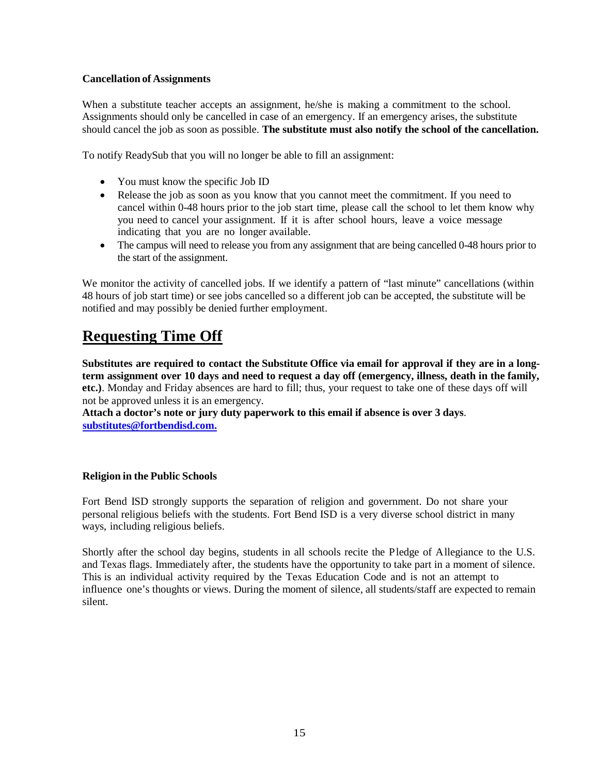#### **Cancellation of Assignments**

When a substitute teacher accepts an assignment, he/she is making a commitment to the school. Assignments should only be cancelled in case of an emergency. If an emergency arises, the substitute should cancel the job as soon as possible. **The substitute must also notify the school of the cancellation.**

To notify ReadySub that you will no longer be able to fill an assignment:

- You must know the specific Job ID
- Release the job as soon as you know that you cannot meet the commitment. If you need to cancel within 0-48 hours prior to the job start time, please call the school to let them know why you need to cancel your assignment. If it is after school hours, leave a voice message indicating that you are no longer available.
- The campus will need to release you from any assignment that are being cancelled 0-48 hours prior to the start of the assignment.

We monitor the activity of cancelled jobs. If we identify a pattern of "last minute" cancellations (within 48 hours of job start time) or see jobs cancelled so a different job can be accepted, the substitute will be notified and may possibly be denied further employment.

## **Requesting Time Off**

**Substitutes are required to contact the Substitute Office via email for approval if they are in a long**term assignment over 10 days and need to request a day off (emergency, illness, death in the family, **etc.)**. Monday and Friday absences are hard to fill; thus, your request to take one of these days off will not be approved unless it is an emergency.

**Attach a doctor's note or jury duty paperwork to this email if absence is over 3 days**. **[substitutes@fortbendisd.com.](mailto:substitutes@fortbendisd.com)**

#### **Religion in the Public Schools**

Fort Bend ISD strongly supports the separation of religion and government. Do not share your personal religious beliefs with the students. Fort Bend ISD is a very diverse school district in many ways, including religious beliefs.

Shortly after the school day begins, students in all schools recite the Pledge of Allegiance to the U.S. and Texas flags. Immediately after, the students have the opportunity to take part in a moment of silence. This is an individual activity required by the Texas Education Code and is not an attempt to influence one's thoughts or views. During the moment of silence, all students/staff are expected to remain silent.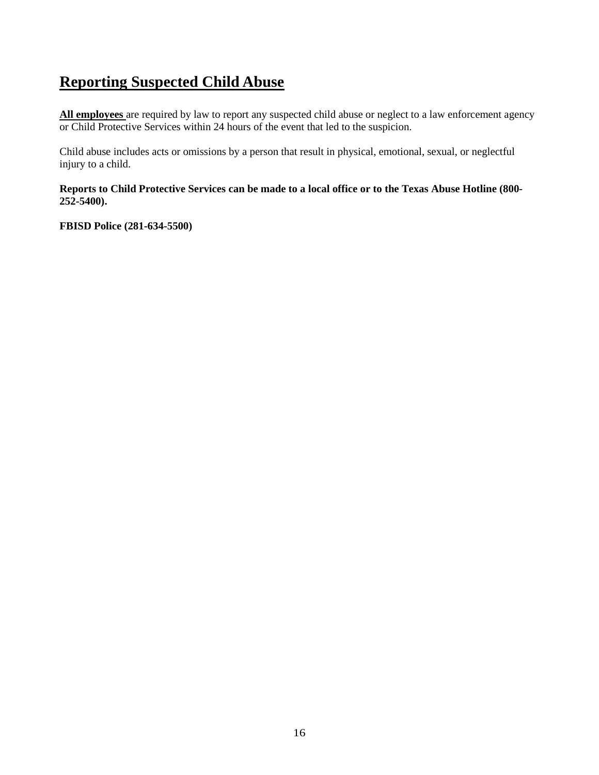## **Reporting Suspected Child Abuse**

**All employees** are required by law to report any suspected child abuse or neglect to a law enforcement agency or Child Protective Services within 24 hours of the event that led to the suspicion.

Child abuse includes acts or omissions by a person that result in physical, emotional, sexual, or neglectful injury to a child.

**Reports to Child Protective Services can be made to a local office or to the Texas Abuse Hotline (800- 252-5400).**

**FBISD Police (281-634-5500)**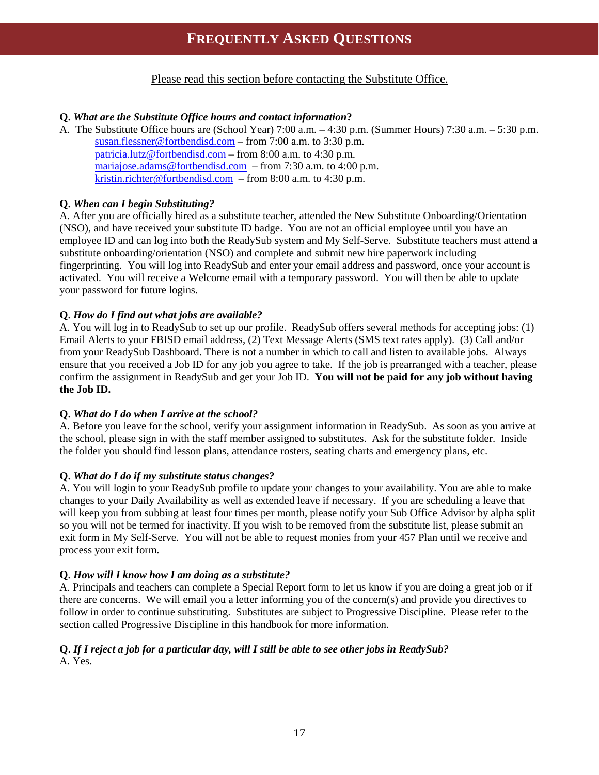## **FREQUENTLY ASKED QUESTIONS**

Please read this section before contacting the Substitute Office.

#### **Q.** *What are the Substitute Office hours and contact information***?**

A. The Substitute Office hours are (School Year) 7:00 a.m. – 4:30 p.m. (Summer Hours) 7:30 a.m. – 5:30 p.m. [susan.flessner@fortbendisd.com](mailto:susan.flessner@fortbendisd.com) – from 7:00 a.m. to 3:30 p.m. [patricia.lutz@fortbendisd.com](mailto:patricia.lutz@fortbendisd.com) – from 8:00 a.m. to 4:30 p.m. [mariajose.adams@fortbendisd.com](mailto:mariajose.adams@fortbendisd.com) – from 7:30 a.m. to 4:00 p.m. [kristin.richter@fortbendisd.com](mailto:kristin.richter@fortbendisd.com) – from 8:00 a.m. to 4:30 p.m.

#### **Q.** *When can I begin Substituting?*

A. After you are officially hired as a substitute teacher, attended the New Substitute Onboarding/Orientation (NSO), and have received your substitute ID badge. You are not an official employee until you have an employee ID and can log into both the ReadySub system and My Self-Serve. Substitute teachers must attend a substitute onboarding/orientation (NSO) and complete and submit new hire paperwork including fingerprinting. You will log into ReadySub and enter your email address and password, once your account is activated. You will receive a Welcome email with a temporary password. You will then be able to update your password for future logins.

#### **Q.** *How do I find out what jobs are available?*

A. You will log in to ReadySub to set up our profile. ReadySub offers several methods for accepting jobs: (1) Email Alerts to your FBISD email address, (2) Text Message Alerts (SMS text rates apply). (3) Call and/or from your ReadySub Dashboard. There is not a number in which to call and listen to available jobs. Always ensure that you received a Job ID for any job you agree to take. If the job is prearranged with a teacher, please confirm the assignment in ReadySub and get your Job ID. **You will not be paid for any job without having the Job ID.**

#### **Q.** *What do I do when I arrive at the school?*

A. Before you leave for the school, verify your assignment information in ReadySub. As soon as you arrive at the school, please sign in with the staff member assigned to substitutes. Ask for the substitute folder. Inside the folder you should find lesson plans, attendance rosters, seating charts and emergency plans, etc.

#### **Q.** *What do I do if my substitute status changes?*

A. You will login to your ReadySub profile to update your changes to your availability. You are able to make changes to your Daily Availability as well as extended leave if necessary. If you are scheduling a leave that will keep you from subbing at least four times per month, please notify your Sub Office Advisor by alpha split so you will not be termed for inactivity. If you wish to be removed from the substitute list, please submit an exit form in My Self-Serve. You will not be able to request monies from your 457 Plan until we receive and process your exit form.

#### **Q.** *How will I know how I am doing as a substitute?*

A. Principals and teachers can complete a Special Report form to let us know if you are doing a great job or if there are concerns. We will email you a letter informing you of the concern(s) and provide you directives to follow in order to continue substituting. Substitutes are subject to Progressive Discipline. Please refer to the section called Progressive Discipline in this handbook for more information.

#### **Q.** *If I reject a job for a particular day, will I still be able to see other jobs in ReadySub?* A. Yes.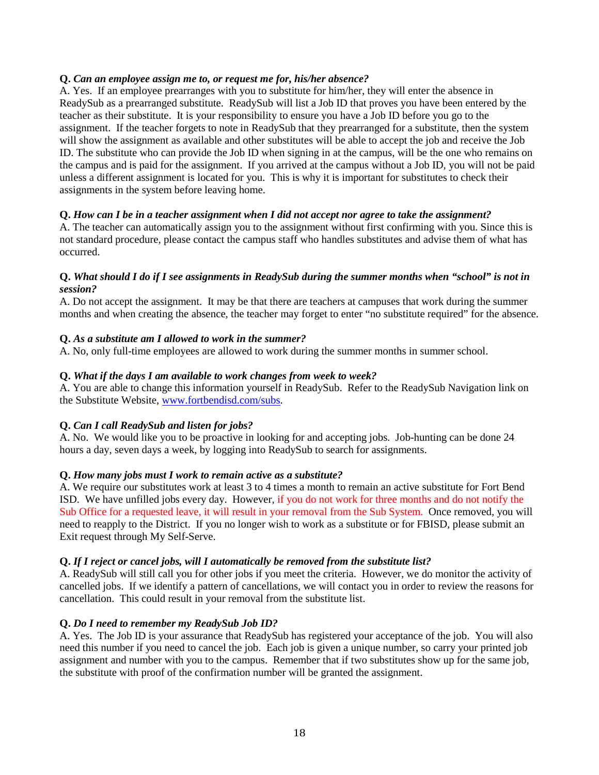#### **Q.** *Can an employee assign me to, or request me for, his/her absence?*

A. Yes. If an employee prearranges with you to substitute for him/her, they will enter the absence in ReadySub as a prearranged substitute. ReadySub will list a Job ID that proves you have been entered by the teacher as their substitute. It is your responsibility to ensure you have a Job ID before you go to the assignment. If the teacher forgets to note in ReadySub that they prearranged for a substitute, then the system will show the assignment as available and other substitutes will be able to accept the job and receive the Job ID. The substitute who can provide the Job ID when signing in at the campus, will be the one who remains on the campus and is paid for the assignment. If you arrived at the campus without a Job ID, you will not be paid unless a different assignment is located for you. This is why it is important for substitutes to check their assignments in the system before leaving home.

#### **Q.** *How can I be in a teacher assignment when I did not accept nor agree to take the assignment?*

A. The teacher can automatically assign you to the assignment without first confirming with you. Since this is not standard procedure, please contact the campus staff who handles substitutes and advise them of what has occurred.

#### **Q.** *What should I do if I see assignments in ReadySub during the summer months when "school" is not in session?*

A. Do not accept the assignment. It may be that there are teachers at campuses that work during the summer months and when creating the absence, the teacher may forget to enter "no substitute required" for the absence.

#### **Q.** *As a substitute am I allowed to work in the summer?*

A. No, only full-time employees are allowed to work during the summer months in summer school.

#### **Q.** *What if the days I am available to work changes from week to week?*

A. You are able to change this information yourself in ReadySub. Refer to the ReadySub Navigation link on the Substitute Website, [www.fortbendisd.com/subs.](http://www.fortbendisd.com/subs)

#### **Q.** *Can I call ReadySub and listen for jobs?*

A. No. We would like you to be proactive in looking for and accepting jobs. Job-hunting can be done 24 hours a day, seven days a week, by logging into ReadySub to search for assignments.

#### **Q.** *How many jobs must I work to remain active as a substitute?*

A. We require our substitutes work at least 3 to 4 times a month to remain an active substitute for Fort Bend ISD. We have unfilled jobs every day. However, if you do not work for three months and do not notify the Sub Office for a requested leave, it will result in your removal from the Sub System. Once removed, you will need to reapply to the District. If you no longer wish to work as a substitute or for FBISD, please submit an Exit request through My Self-Serve.

#### **Q.** *If I reject or cancel jobs, will I automatically be removed from the substitute list?*

A. ReadySub will still call you for other jobs if you meet the criteria. However, we do monitor the activity of cancelled jobs. If we identify a pattern of cancellations, we will contact you in order to review the reasons for cancellation. This could result in your removal from the substitute list.

#### **Q.** *Do I need to remember my ReadySub Job ID?*

A. Yes. The Job ID is your assurance that ReadySub has registered your acceptance of the job. You will also need this number if you need to cancel the job. Each job is given a unique number, so carry your printed job assignment and number with you to the campus. Remember that if two substitutes show up for the same job, the substitute with proof of the confirmation number will be granted the assignment.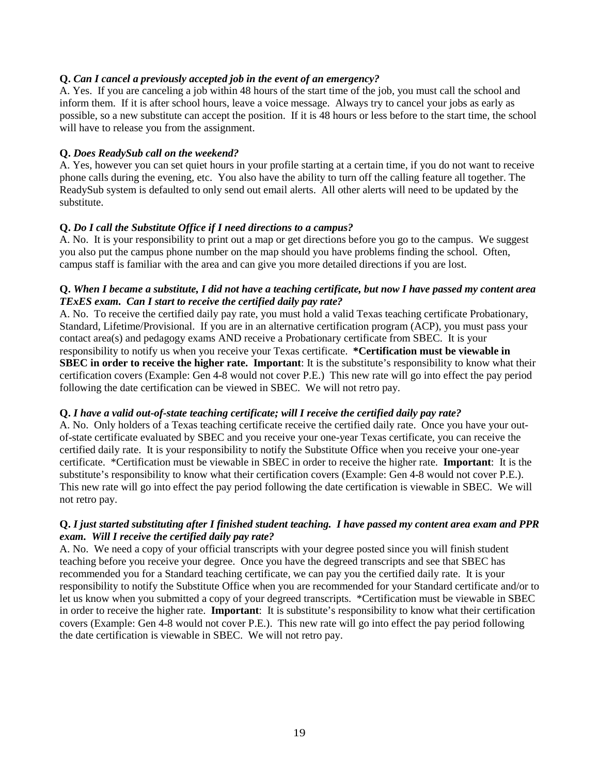#### **Q.** *Can I cancel a previously accepted job in the event of an emergency?*

A. Yes. If you are canceling a job within 48 hours of the start time of the job, you must call the school and inform them. If it is after school hours, leave a voice message. Always try to cancel your jobs as early as possible, so a new substitute can accept the position. If it is 48 hours or less before to the start time, the school will have to release you from the assignment.

#### **Q.** *Does ReadySub call on the weekend?*

A. Yes, however you can set quiet hours in your profile starting at a certain time, if you do not want to receive phone calls during the evening, etc. You also have the ability to turn off the calling feature all together. The ReadySub system is defaulted to only send out email alerts. All other alerts will need to be updated by the substitute.

#### **Q.** *Do I call the Substitute Office if I need directions to a campus?*

A. No. It is your responsibility to print out a map or get directions before you go to the campus. We suggest you also put the campus phone number on the map should you have problems finding the school. Often, campus staff is familiar with the area and can give you more detailed directions if you are lost.

#### **Q.** *When I became a substitute, I did not have a teaching certificate, but now I have passed my content area TExES exam. Can I start to receive the certified daily pay rate?*

A. No. To receive the certified daily pay rate, you must hold a valid Texas teaching certificate Probationary, Standard, Lifetime/Provisional. If you are in an alternative certification program (ACP), you must pass your contact area(s) and pedagogy exams AND receive a Probationary certificate from SBEC. It is your responsibility to notify us when you receive your Texas certificate. **\*Certification must be viewable in SBEC in order to receive the higher rate. Important:** It is the substitute's responsibility to know what their certification covers (Example: Gen 4-8 would not cover P.E.) This new rate will go into effect the pay period following the date certification can be viewed in SBEC. We will not retro pay.

#### **Q.** *I have a valid out-of-state teaching certificate; will I receive the certified daily pay rate?*

A. No. Only holders of a Texas teaching certificate receive the certified daily rate. Once you have your outof-state certificate evaluated by SBEC and you receive your one-year Texas certificate, you can receive the certified daily rate. It is your responsibility to notify the Substitute Office when you receive your one-year certificate. \*Certification must be viewable in SBEC in order to receive the higher rate. **Important**: It is the substitute's responsibility to know what their certification covers (Example: Gen 4-8 would not cover P.E.). This new rate will go into effect the pay period following the date certification is viewable in SBEC. We will not retro pay.

#### **Q.** *I just started substituting after I finished student teaching. I have passed my content area exam and PPR exam. Will I receive the certified daily pay rate?*

A. No. We need a copy of your official transcripts with your degree posted since you will finish student teaching before you receive your degree. Once you have the degreed transcripts and see that SBEC has recommended you for a Standard teaching certificate, we can pay you the certified daily rate. It is your responsibility to notify the Substitute Office when you are recommended for your Standard certificate and/or to let us know when you submitted a copy of your degreed transcripts. \*Certification must be viewable in SBEC in order to receive the higher rate. **Important**: It is substitute's responsibility to know what their certification covers (Example: Gen 4-8 would not cover P.E.). This new rate will go into effect the pay period following the date certification is viewable in SBEC. We will not retro pay.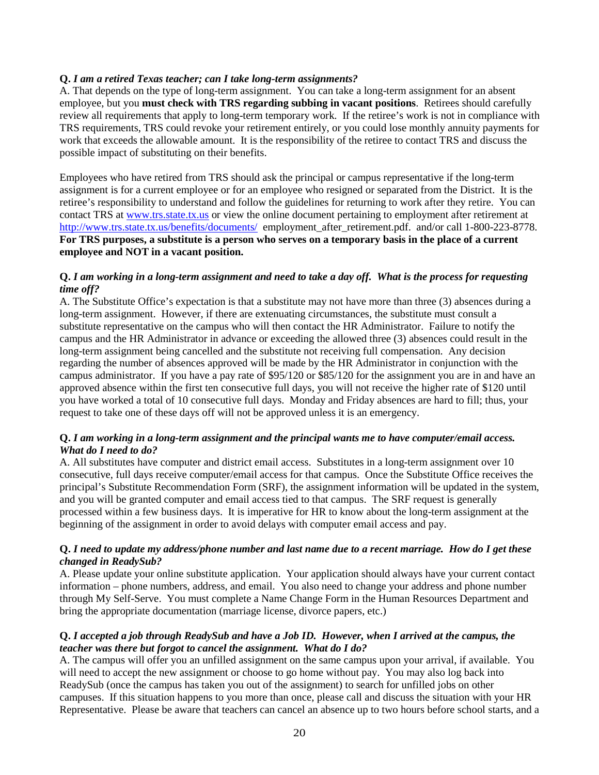#### **Q.** *I am a retired Texas teacher; can I take long-term assignments?*

A. That depends on the type of long-term assignment. You can take a long-term assignment for an absent employee, but you **must check with TRS regarding subbing in vacant positions**. Retirees should carefully review all requirements that apply to long-term temporary work. If the retiree's work is not in compliance with TRS requirements, TRS could revoke your retirement entirely, or you could lose monthly annuity payments for work that exceeds the allowable amount. It is the responsibility of the retiree to contact TRS and discuss the possible impact of substituting on their benefits.

Employees who have retired from TRS should ask the principal or campus representative if the long-term assignment is for a current employee or for an employee who resigned or separated from the District. It is the retiree's responsibility to understand and follow the guidelines for returning to work after they retire. You can contact TRS at [www.trs.state.tx.us](http://www.trs.state.tx.us/) or view the online document pertaining to employment after retirement at <http://www.trs.state.tx.us/benefits/documents/>employment\_after\_retirement.pdf. and/or call 1-800-223-8778. **For TRS purposes, a substitute is a person who serves on a temporary basis in the place of a current employee and NOT in a vacant position.**

#### **Q.** *I am working in a long-term assignment and need to take a day off. What is the process for requesting time off?*

A. The Substitute Office's expectation is that a substitute may not have more than three (3) absences during a long-term assignment. However, if there are extenuating circumstances, the substitute must consult a substitute representative on the campus who will then contact the HR Administrator. Failure to notify the campus and the HR Administrator in advance or exceeding the allowed three (3) absences could result in the long-term assignment being cancelled and the substitute not receiving full compensation. Any decision regarding the number of absences approved will be made by the HR Administrator in conjunction with the campus administrator. If you have a pay rate of \$95/120 or \$85/120 for the assignment you are in and have an approved absence within the first ten consecutive full days, you will not receive the higher rate of \$120 until you have worked a total of 10 consecutive full days. Monday and Friday absences are hard to fill; thus, your request to take one of these days off will not be approved unless it is an emergency.

#### **Q.** *I am working in a long-term assignment and the principal wants me to have computer/email access. What do I need to do?*

A. All substitutes have computer and district email access. Substitutes in a long-term assignment over 10 consecutive, full days receive computer/email access for that campus. Once the Substitute Office receives the principal's Substitute Recommendation Form (SRF), the assignment information will be updated in the system, and you will be granted computer and email access tied to that campus. The SRF request is generally processed within a few business days. It is imperative for HR to know about the long-term assignment at the beginning of the assignment in order to avoid delays with computer email access and pay.

#### **Q.** *I need to update my address/phone number and last name due to a recent marriage. How do I get these changed in ReadySub?*

A. Please update your online substitute application. Your application should always have your current contact information – phone numbers, address, and email. You also need to change your address and phone number through My Self-Serve. You must complete a Name Change Form in the Human Resources Department and bring the appropriate documentation (marriage license, divorce papers, etc.)

#### **Q.** *I accepted a job through ReadySub and have a Job ID. However, when I arrived at the campus, the teacher was there but forgot to cancel the assignment. What do I do?*

A. The campus will offer you an unfilled assignment on the same campus upon your arrival, if available. You will need to accept the new assignment or choose to go home without pay. You may also log back into ReadySub (once the campus has taken you out of the assignment) to search for unfilled jobs on other campuses. If this situation happens to you more than once, please call and discuss the situation with your HR Representative. Please be aware that teachers can cancel an absence up to two hours before school starts, and a